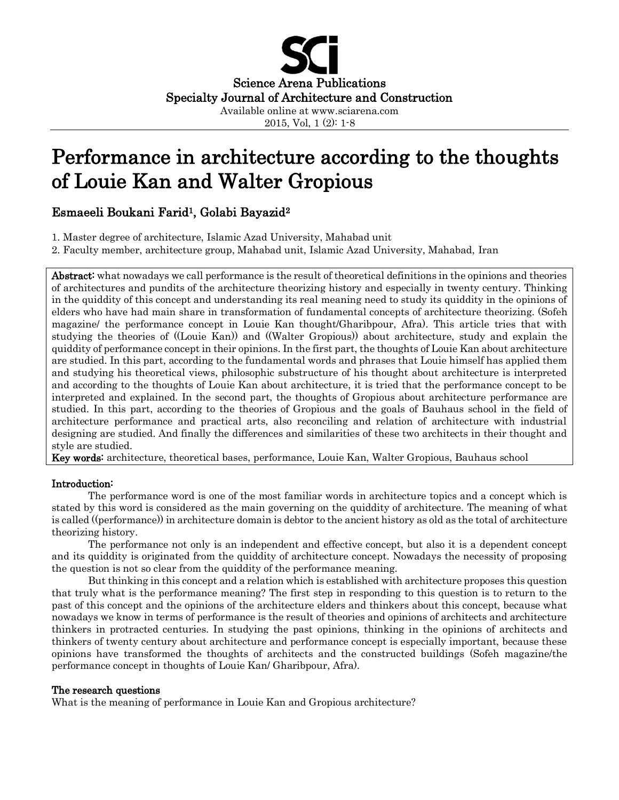

# Performance in architecture according to the thoughts of Louie Kan and Walter Gropious

# Esmaeeli Boukani Farid1, Golabi Bayazid<sup>2</sup>

1. Master degree of architecture, Islamic Azad University, Mahabad unit

2. Faculty member, architecture group, Mahabad unit, Islamic Azad University, Mahabad, Iran

Abstract: what nowadays we call performance is the result of theoretical definitions in the opinions and theories of architectures and pundits of the architecture theorizing history and especially in twenty century. Thinking in the quiddity of this concept and understanding its real meaning need to study its quiddity in the opinions of elders who have had main share in transformation of fundamental concepts of architecture theorizing. (Sofeh magazine/ the performance concept in Louie Kan thought/Gharibpour, Afra). This article tries that with studying the theories of ((Louie Kan)) and ((Walter Gropious)) about architecture, study and explain the quiddity of performance concept in their opinions. In the first part, the thoughts of Louie Kan about architecture are studied. In this part, according to the fundamental words and phrases that Louie himself has applied them and studying his theoretical views, philosophic substructure of his thought about architecture is interpreted and according to the thoughts of Louie Kan about architecture, it is tried that the performance concept to be interpreted and explained. In the second part, the thoughts of Gropious about architecture performance are studied. In this part, according to the theories of Gropious and the goals of Bauhaus school in the field of architecture performance and practical arts, also reconciling and relation of architecture with industrial designing are studied. And finally the differences and similarities of these two architects in their thought and style are studied.

Key words: architecture, theoretical bases, performance, Louie Kan, Walter Gropious, Bauhaus school

# Introduction:

The performance word is one of the most familiar words in architecture topics and a concept which is stated by this word is considered as the main governing on the quiddity of architecture. The meaning of what is called ((performance)) in architecture domain is debtor to the ancient history as old as the total of architecture theorizing history.

The performance not only is an independent and effective concept, but also it is a dependent concept and its quiddity is originated from the quiddity of architecture concept. Nowadays the necessity of proposing the question is not so clear from the quiddity of the performance meaning.

But thinking in this concept and a relation which is established with architecture proposes this question that truly what is the performance meaning? The first step in responding to this question is to return to the past of this concept and the opinions of the architecture elders and thinkers about this concept, because what nowadays we know in terms of performance is the result of theories and opinions of architects and architecture thinkers in protracted centuries. In studying the past opinions, thinking in the opinions of architects and thinkers of twenty century about architecture and performance concept is especially important, because these opinions have transformed the thoughts of architects and the constructed buildings (Sofeh magazine/the performance concept in thoughts of Louie Kan/ Gharibpour, Afra).

#### The research questions

What is the meaning of performance in Louie Kan and Gropious architecture?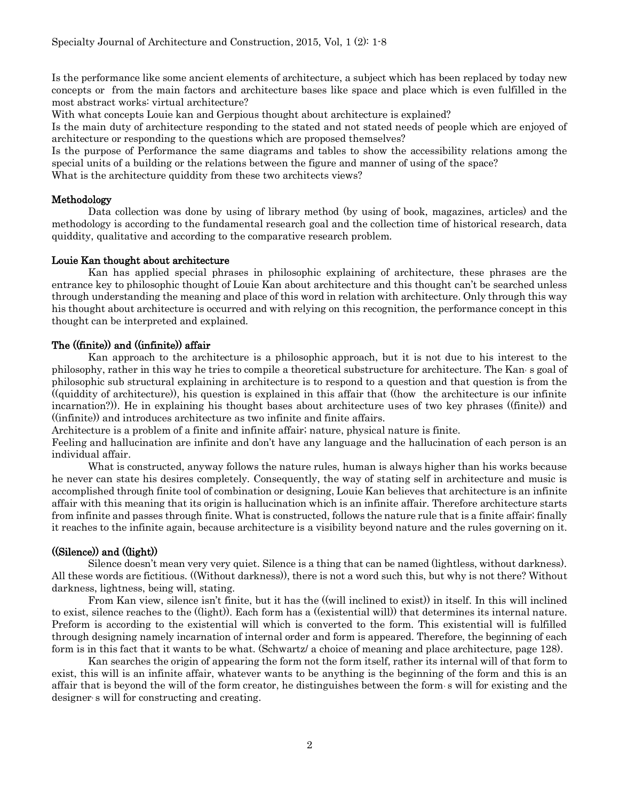Is the performance like some ancient elements of architecture, a subject which has been replaced by today new concepts or from the main factors and architecture bases like space and place which is even fulfilled in the most abstract works: virtual architecture?

With what concepts Louie kan and Gerpious thought about architecture is explained?

Is the main duty of architecture responding to the stated and not stated needs of people which are enjoyed of architecture or responding to the questions which are proposed themselves?

Is the purpose of Performance the same diagrams and tables to show the accessibility relations among the special units of a building or the relations between the figure and manner of using of the space?

What is the architecture quiddity from these two architects views?

#### Methodology

Data collection was done by using of library method (by using of book, magazines, articles) and the methodology is according to the fundamental research goal and the collection time of historical research, data quiddity, qualitative and according to the comparative research problem.

#### Louie Kan thought about architecture

Kan has applied special phrases in philosophic explaining of architecture, these phrases are the entrance key to philosophic thought of Louie Kan about architecture and this thought can't be searched unless through understanding the meaning and place of this word in relation with architecture. Only through this way his thought about architecture is occurred and with relying on this recognition, the performance concept in this thought can be interpreted and explained.

#### The ((finite)) and ((infinite)) affair

Kan approach to the architecture is a philosophic approach, but it is not due to his interest to the philosophy, rather in this way he tries to compile a theoretical substructure for architecture. The Kan, s goal of philosophic sub structural explaining in architecture is to respond to a question and that question is from the ((quiddity of architecture)), his question is explained in this affair that ((how the architecture is our infinite incarnation?)). He in explaining his thought bases about architecture uses of two key phrases ((finite)) and ((infinite)) and introduces architecture as two infinite and finite affairs.

Architecture is a problem of a finite and infinite affair; nature, physical nature is finite.

Feeling and hallucination are infinite and don't have any language and the hallucination of each person is an individual affair.

What is constructed, anyway follows the nature rules, human is always higher than his works because he never can state his desires completely. Consequently, the way of stating self in architecture and music is accomplished through finite tool of combination or designing, Louie Kan believes that architecture is an infinite affair with this meaning that its origin is hallucination which is an infinite affair. Therefore architecture starts from infinite and passes through finite. What is constructed, follows the nature rule that is a finite affair; finally it reaches to the infinite again, because architecture is a visibility beyond nature and the rules governing on it.

#### ((Silence)) and ((light))

Silence doesn't mean very very quiet. Silence is a thing that can be named (lightless, without darkness). All these words are fictitious. ((Without darkness)), there is not a word such this, but why is not there? Without darkness, lightness, being will, stating.

From Kan view, silence isn't finite, but it has the ((will inclined to exist)) in itself. In this will inclined to exist, silence reaches to the ((light)). Each form has a ((existential will)) that determines its internal nature. Preform is according to the existential will which is converted to the form. This existential will is fulfilled through designing namely incarnation of internal order and form is appeared. Therefore, the beginning of each form is in this fact that it wants to be what. (Schwartz/ a choice of meaning and place architecture, page 128).

Kan searches the origin of appearing the form not the form itself, rather its internal will of that form to exist, this will is an infinite affair, whatever wants to be anything is the beginning of the form and this is an affair that is beyond the will of the form creator, he distinguishes between the form, s will for existing and the designer, s will for constructing and creating.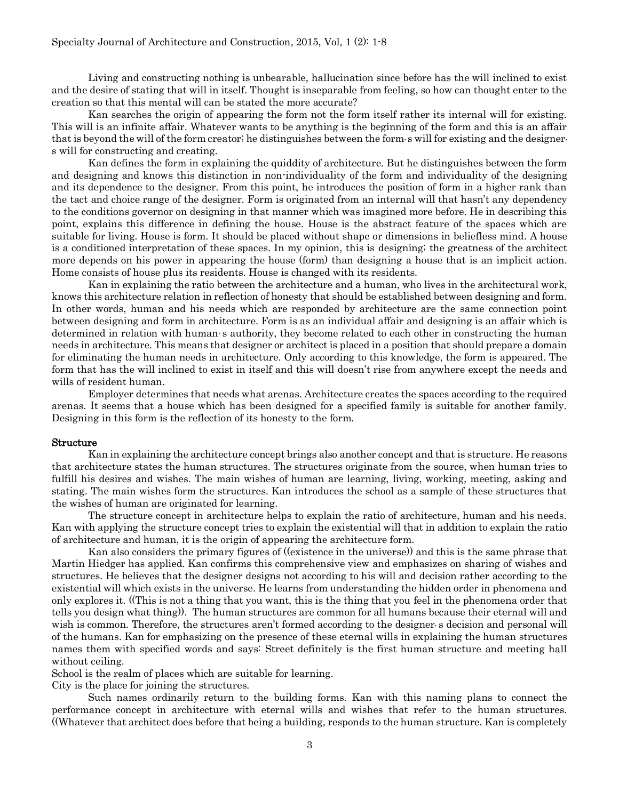Living and constructing nothing is unbearable, hallucination since before has the will inclined to exist and the desire of stating that will in itself. Thought is inseparable from feeling, so how can thought enter to the creation so that this mental will can be stated the more accurate?

Kan searches the origin of appearing the form not the form itself rather its internal will for existing. This will is an infinite affair. Whatever wants to be anything is the beginning of the form and this is an affair that is beyond the will of the form creator; he distinguishes between the form s will for existing and the designers will for constructing and creating.

Kan defines the form in explaining the quiddity of architecture. But he distinguishes between the form and designing and knows this distinction in non-individuality of the form and individuality of the designing and its dependence to the designer. From this point, he introduces the position of form in a higher rank than the tact and choice range of the designer. Form is originated from an internal will that hasn't any dependency to the conditions governor on designing in that manner which was imagined more before. He in describing this point, explains this difference in defining the house. House is the abstract feature of the spaces which are suitable for living. House is form. It should be placed without shape or dimensions in beliefless mind. A house is a conditioned interpretation of these spaces. In my opinion, this is designing; the greatness of the architect more depends on his power in appearing the house (form) than designing a house that is an implicit action. Home consists of house plus its residents. House is changed with its residents.

Kan in explaining the ratio between the architecture and a human, who lives in the architectural work, knows this architecture relation in reflection of honesty that should be established between designing and form. In other words, human and his needs which are responded by architecture are the same connection point between designing and form in architecture. Form is as an individual affair and designing is an affair which is determined in relation with human s authority, they become related to each other in constructing the human needs in architecture. This means that designer or architect is placed in a position that should prepare a domain for eliminating the human needs in architecture. Only according to this knowledge, the form is appeared. The form that has the will inclined to exist in itself and this will doesn't rise from anywhere except the needs and wills of resident human.

Employer determines that needs what arenas. Architecture creates the spaces according to the required arenas. It seems that a house which has been designed for a specified family is suitable for another family. Designing in this form is the reflection of its honesty to the form.

#### Structure

Kan in explaining the architecture concept brings also another concept and that is structure. He reasons that architecture states the human structures. The structures originate from the source, when human tries to fulfill his desires and wishes. The main wishes of human are learning, living, working, meeting, asking and stating. The main wishes form the structures. Kan introduces the school as a sample of these structures that the wishes of human are originated for learning.

The structure concept in architecture helps to explain the ratio of architecture, human and his needs. Kan with applying the structure concept tries to explain the existential will that in addition to explain the ratio of architecture and human, it is the origin of appearing the architecture form.

Kan also considers the primary figures of ((existence in the universe)) and this is the same phrase that Martin Hiedger has applied. Kan confirms this comprehensive view and emphasizes on sharing of wishes and structures. He believes that the designer designs not according to his will and decision rather according to the existential will which exists in the universe. He learns from understanding the hidden order in phenomena and only explores it. ((This is not a thing that you want, this is the thing that you feel in the phenomena order that tells you design what thing)). The human structures are common for all humans because their eternal will and wish is common. Therefore, the structures aren't formed according to the designer s decision and personal will of the humans. Kan for emphasizing on the presence of these eternal wills in explaining the human structures names them with specified words and says: Street definitely is the first human structure and meeting hall without ceiling.

School is the realm of places which are suitable for learning.

City is the place for joining the structures.

Such names ordinarily return to the building forms. Kan with this naming plans to connect the performance concept in architecture with eternal wills and wishes that refer to the human structures. ((Whatever that architect does before that being a building, responds to the human structure. Kan is completely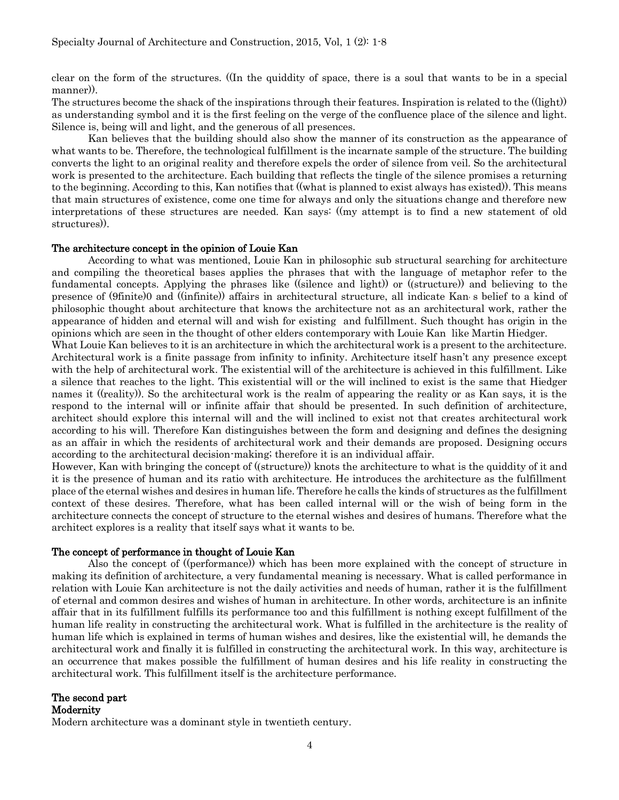clear on the form of the structures. ((In the quiddity of space, there is a soul that wants to be in a special manner)).

The structures become the shack of the inspirations through their features. Inspiration is related to the ((light)) as understanding symbol and it is the first feeling on the verge of the confluence place of the silence and light. Silence is, being will and light, and the generous of all presences.

Kan believes that the building should also show the manner of its construction as the appearance of what wants to be. Therefore, the technological fulfillment is the incarnate sample of the structure. The building converts the light to an original reality and therefore expels the order of silence from veil. So the architectural work is presented to the architecture. Each building that reflects the tingle of the silence promises a returning to the beginning. According to this, Kan notifies that ((what is planned to exist always has existed)). This means that main structures of existence, come one time for always and only the situations change and therefore new interpretations of these structures are needed. Kan says: ((my attempt is to find a new statement of old structures)).

#### The architecture concept in the opinion of Louie Kan

According to what was mentioned, Louie Kan in philosophic sub structural searching for architecture and compiling the theoretical bases applies the phrases that with the language of metaphor refer to the fundamental concepts. Applying the phrases like ((silence and light)) or ((structure)) and believing to the presence of (9finite)0 and ((infinite)) affairs in architectural structure, all indicate Kan, s belief to a kind of philosophic thought about architecture that knows the architecture not as an architectural work, rather the appearance of hidden and eternal will and wish for existing and fulfillment. Such thought has origin in the opinions which are seen in the thought of other elders contemporary with Louie Kan like Martin Hiedger.

What Louie Kan believes to it is an architecture in which the architectural work is a present to the architecture. Architectural work is a finite passage from infinity to infinity. Architecture itself hasn't any presence except with the help of architectural work. The existential will of the architecture is achieved in this fulfillment. Like a silence that reaches to the light. This existential will or the will inclined to exist is the same that Hiedger names it ((reality)). So the architectural work is the realm of appearing the reality or as Kan says, it is the respond to the internal will or infinite affair that should be presented. In such definition of architecture, architect should explore this internal will and the will inclined to exist not that creates architectural work according to his will. Therefore Kan distinguishes between the form and designing and defines the designing as an affair in which the residents of architectural work and their demands are proposed. Designing occurs according to the architectural decision-making; therefore it is an individual affair.

However, Kan with bringing the concept of ((structure)) knots the architecture to what is the quiddity of it and it is the presence of human and its ratio with architecture. He introduces the architecture as the fulfillment place of the eternal wishes and desires in human life. Therefore he calls the kinds of structures as the fulfillment context of these desires. Therefore, what has been called internal will or the wish of being form in the architecture connects the concept of structure to the eternal wishes and desires of humans. Therefore what the architect explores is a reality that itself says what it wants to be.

#### The concept of performance in thought of Louie Kan

Also the concept of ((performance)) which has been more explained with the concept of structure in making its definition of architecture, a very fundamental meaning is necessary. What is called performance in relation with Louie Kan architecture is not the daily activities and needs of human, rather it is the fulfillment of eternal and common desires and wishes of human in architecture. In other words, architecture is an infinite affair that in its fulfillment fulfills its performance too and this fulfillment is nothing except fulfillment of the human life reality in constructing the architectural work. What is fulfilled in the architecture is the reality of human life which is explained in terms of human wishes and desires, like the existential will, he demands the architectural work and finally it is fulfilled in constructing the architectural work. In this way, architecture is an occurrence that makes possible the fulfillment of human desires and his life reality in constructing the architectural work. This fulfillment itself is the architecture performance.

The second part Modernity

Modern architecture was a dominant style in twentieth century.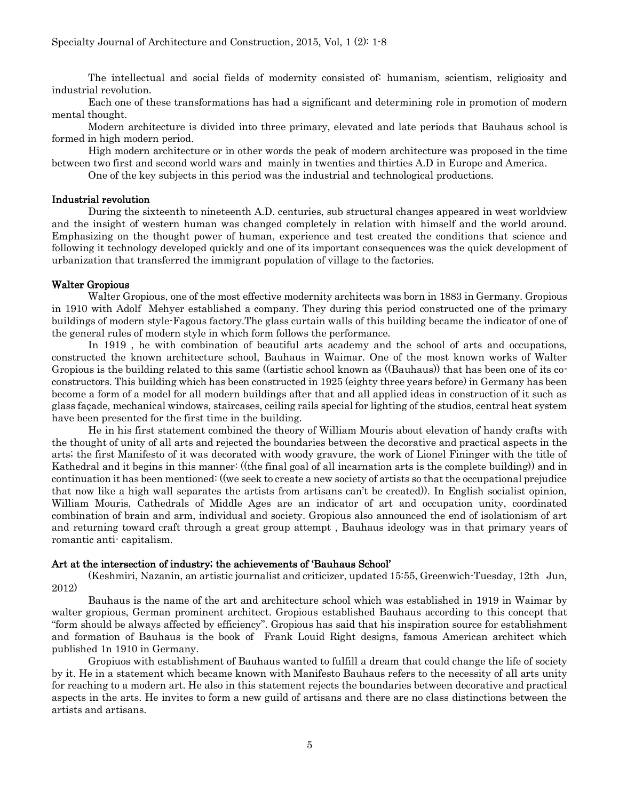The intellectual and social fields of modernity consisted of: humanism, scientism, religiosity and industrial revolution.

Each one of these transformations has had a significant and determining role in promotion of modern mental thought.

Modern architecture is divided into three primary, elevated and late periods that Bauhaus school is formed in high modern period.

High modern architecture or in other words the peak of modern architecture was proposed in the time between two first and second world wars and mainly in twenties and thirties A.D in Europe and America.

One of the key subjects in this period was the industrial and technological productions.

#### Industrial revolution

During the sixteenth to nineteenth A.D. centuries, sub structural changes appeared in west worldview and the insight of western human was changed completely in relation with himself and the world around. Emphasizing on the thought power of human, experience and test created the conditions that science and following it technology developed quickly and one of its important consequences was the quick development of urbanization that transferred the immigrant population of village to the factories.

## Walter Gropious

Walter Gropious, one of the most effective modernity architects was born in 1883 in Germany. Gropious in 1910 with Adolf Mehyer established a company. They during this period constructed one of the primary buildings of modern style-Fagous factory.The glass curtain walls of this building became the indicator of one of the general rules of modern style in which form follows the performance.

In 1919 , he with combination of beautiful arts academy and the school of arts and occupations, constructed the known architecture school, Bauhaus in Waimar. One of the most known works of Walter Gropious is the building related to this same ((artistic school known as ((Bauhaus)) that has been one of its coconstructors. This building which has been constructed in 1925 (eighty three years before) in Germany has been become a form of a model for all modern buildings after that and all applied ideas in construction of it such as glass façade, mechanical windows, staircases, ceiling rails special for lighting of the studios, central heat system have been presented for the first time in the building.

He in his first statement combined the theory of William Mouris about elevation of handy crafts with the thought of unity of all arts and rejected the boundaries between the decorative and practical aspects in the arts; the first Manifesto of it was decorated with woody gravure, the work of Lionel Fininger with the title of Kathedral and it begins in this manner: ((the final goal of all incarnation arts is the complete building)) and in continuation it has been mentioned: ((we seek to create a new society of artists so that the occupational prejudice that now like a high wall separates the artists from artisans can't be created)). In English socialist opinion, William Mouris, Cathedrals of Middle Ages are an indicator of art and occupation unity, coordinated combination of brain and arm, individual and society. Gropious also announced the end of isolationism of art and returning toward craft through a great group attempt , Bauhaus ideology was in that primary years of romantic anti- capitalism.

#### Art at the intersection of industry; the achievements of 'Bauhaus School'

(Keshmiri, Nazanin, an artistic journalist and criticizer, updated 15:55, Greenwich-Tuesday, 12th Jun, 2012)

Bauhaus is the name of the art and architecture school which was established in 1919 in Waimar by walter gropious, German prominent architect. Gropious established Bauhaus according to this concept that "form should be always affected by efficiency". Gropious has said that his inspiration source for establishment and formation of Bauhaus is the book of Frank Louid Right designs, famous American architect which published 1n 1910 in Germany.

Gropiuos with establishment of Bauhaus wanted to fulfill a dream that could change the life of society by it. He in a statement which became known with Manifesto Bauhaus refers to the necessity of all arts unity for reaching to a modern art. He also in this statement rejects the boundaries between decorative and practical aspects in the arts. He invites to form a new guild of artisans and there are no class distinctions between the artists and artisans.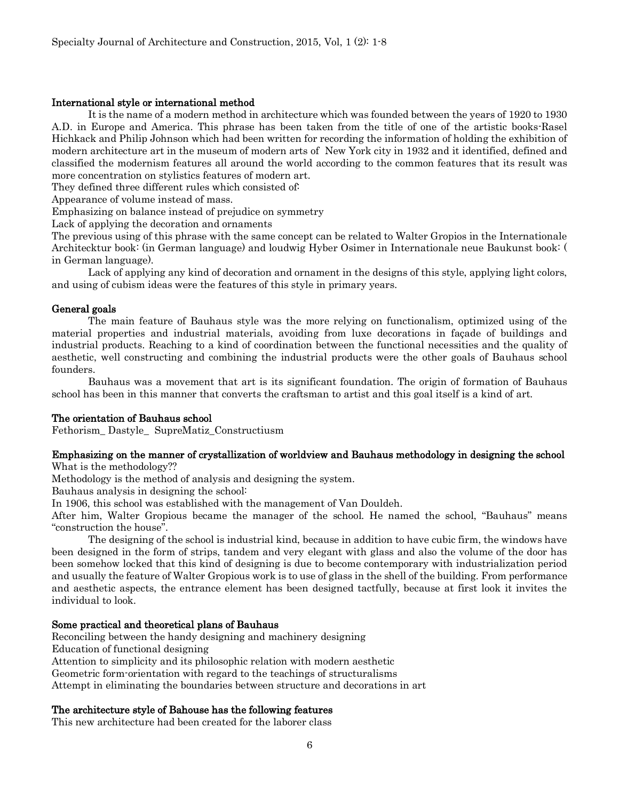## International style or international method

It is the name of a modern method in architecture which was founded between the years of 1920 to 1930 A.D. in Europe and America. This phrase has been taken from the title of one of the artistic books-Rasel Hichkack and Philip Johnson which had been written for recording the information of holding the exhibition of modern architecture art in the museum of modern arts of New York city in 1932 and it identified, defined and classified the modernism features all around the world according to the common features that its result was more concentration on stylistics features of modern art.

They defined three different rules which consisted of.

Appearance of volume instead of mass.

Emphasizing on balance instead of prejudice on symmetry

Lack of applying the decoration and ornaments

The previous using of this phrase with the same concept can be related to Walter Gropios in the Internationale Architecktur book: (in German language) and loudwig Hyber Osimer in Internationale neue Baukunst book: ( in German language).

Lack of applying any kind of decoration and ornament in the designs of this style, applying light colors, and using of cubism ideas were the features of this style in primary years.

## General goals

The main feature of Bauhaus style was the more relying on functionalism, optimized using of the material properties and industrial materials, avoiding from luxe decorations in façade of buildings and industrial products. Reaching to a kind of coordination between the functional necessities and the quality of aesthetic, well constructing and combining the industrial products were the other goals of Bauhaus school founders.

Bauhaus was a movement that art is its significant foundation. The origin of formation of Bauhaus school has been in this manner that converts the craftsman to artist and this goal itself is a kind of art.

#### The orientation of Bauhaus school

Fethorism\_ Dastyle\_ SupreMatiz\_Constructiusm

# Emphasizing on the manner of crystallization of worldview and Bauhaus methodology in designing the school

What is the methodology??

Methodology is the method of analysis and designing the system.

Bauhaus analysis in designing the school:

In 1906, this school was established with the management of Van Douldeh.

After him, Walter Gropious became the manager of the school. He named the school, "Bauhaus" means "construction the house".

The designing of the school is industrial kind, because in addition to have cubic firm, the windows have been designed in the form of strips, tandem and very elegant with glass and also the volume of the door has been somehow locked that this kind of designing is due to become contemporary with industrialization period and usually the feature of Walter Gropious work is to use of glass in the shell of the building. From performance and aesthetic aspects, the entrance element has been designed tactfully, because at first look it invites the individual to look.

#### Some practical and theoretical plans of Bauhaus

Reconciling between the handy designing and machinery designing

Education of functional designing

Attention to simplicity and its philosophic relation with modern aesthetic

Geometric form-orientation with regard to the teachings of structuralisms

Attempt in eliminating the boundaries between structure and decorations in art

#### The architecture style of Bahouse has the following features

This new architecture had been created for the laborer class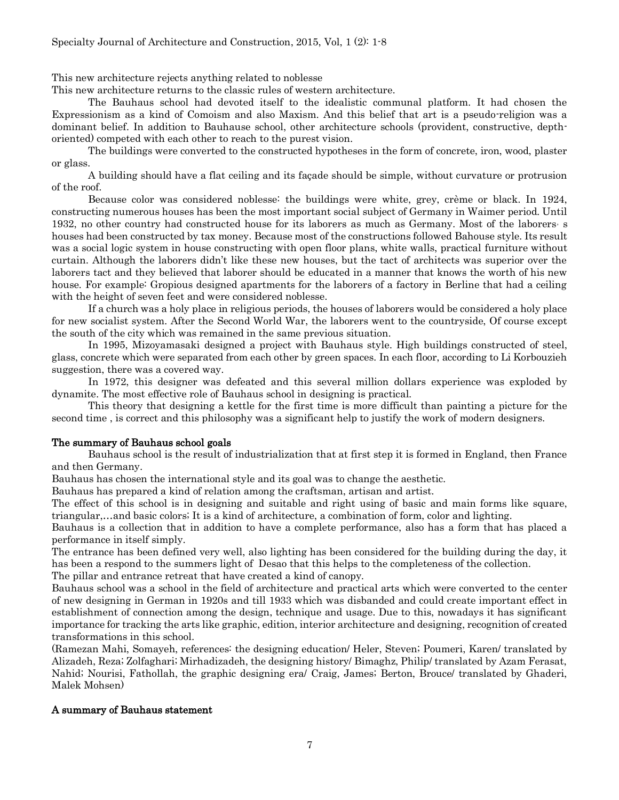This new architecture rejects anything related to noblesse

This new architecture returns to the classic rules of western architecture.

The Bauhaus school had devoted itself to the idealistic communal platform. It had chosen the Expressionism as a kind of Comoism and also Maxism. And this belief that art is a pseudo-religion was a dominant belief. In addition to Bauhause school, other architecture schools (provident, constructive, depthoriented) competed with each other to reach to the purest vision.

The buildings were converted to the constructed hypotheses in the form of concrete, iron, wood, plaster or glass.

A building should have a flat ceiling and its façade should be simple, without curvature or protrusion of the roof.

Because color was considered noblesse: the buildings were white, grey, crème or black. In 1924, constructing numerous houses has been the most important social subject of Germany in Waimer period. Until 1932, no other country had constructed house for its laborers as much as Germany. Most of the laborers, s houses had been constructed by tax money. Because most of the constructions followed Bahouse style. Its result was a social logic system in house constructing with open floor plans, white walls, practical furniture without curtain. Although the laborers didn't like these new houses, but the tact of architects was superior over the laborers tact and they believed that laborer should be educated in a manner that knows the worth of his new house. For example: Gropious designed apartments for the laborers of a factory in Berline that had a ceiling with the height of seven feet and were considered noblesse.

If a church was a holy place in religious periods, the houses of laborers would be considered a holy place for new socialist system. After the Second World War, the laborers went to the countryside, Of course except the south of the city which was remained in the same previous situation.

In 1995, Mizoyamasaki designed a project with Bauhaus style. High buildings constructed of steel, glass, concrete which were separated from each other by green spaces. In each floor, according to Li Korbouzieh suggestion, there was a covered way.

In 1972, this designer was defeated and this several million dollars experience was exploded by dynamite. The most effective role of Bauhaus school in designing is practical.

This theory that designing a kettle for the first time is more difficult than painting a picture for the second time , is correct and this philosophy was a significant help to justify the work of modern designers.

# The summary of Bauhaus school goals

Bauhaus school is the result of industrialization that at first step it is formed in England, then France and then Germany.

Bauhaus has chosen the international style and its goal was to change the aesthetic.

Bauhaus has prepared a kind of relation among the craftsman, artisan and artist.

The effect of this school is in designing and suitable and right using of basic and main forms like square, triangular,…and basic colors; It is a kind of architecture, a combination of form, color and lighting.

Bauhaus is a collection that in addition to have a complete performance, also has a form that has placed a performance in itself simply.

The entrance has been defined very well, also lighting has been considered for the building during the day, it has been a respond to the summers light of Desao that this helps to the completeness of the collection.

The pillar and entrance retreat that have created a kind of canopy.

Bauhaus school was a school in the field of architecture and practical arts which were converted to the center of new designing in German in 1920s and till 1933 which was disbanded and could create important effect in establishment of connection among the design, technique and usage. Due to this, nowadays it has significant importance for tracking the arts like graphic, edition, interior architecture and designing, recognition of created transformations in this school.

(Ramezan Mahi, Somayeh, references: the designing education/ Heler, Steven; Poumeri, Karen/ translated by Alizadeh, Reza; Zolfaghari; Mirhadizadeh, the designing history/ Bimaghz, Philip/ translated by Azam Ferasat, Nahid; Nourisi, Fathollah, the graphic designing era/ Craig, James; Berton, Brouce/ translated by Ghaderi, Malek Mohsen)

# A summary of Bauhaus statement